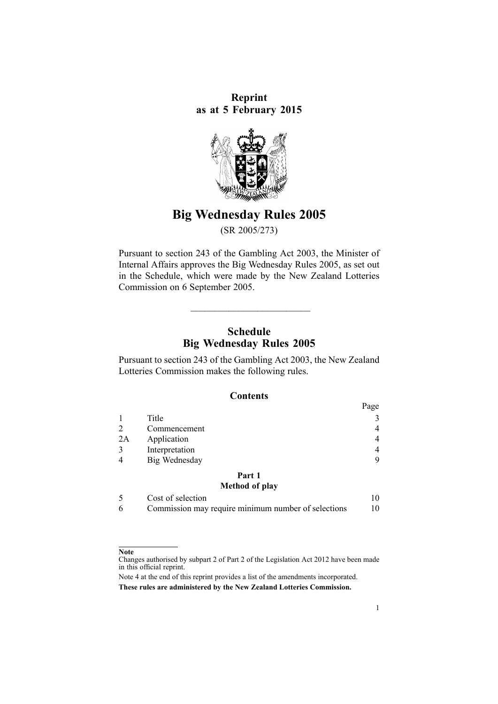**Reprint as at 5 February 2015**



# **Big Wednesday Rules 2005**

(SR 2005/273)

Pursuant to [section](http://www.legislation.govt.nz/pdflink.aspx?id=DLM209744) 243 of the Gambling Act 2003, the Minister of Internal Affairs approves the Big Wednesday Rules 2005, as set out in the Schedule, which were made by the New Zealand Lotteries Commission on 6 September 2005.

## **Schedule Big Wednesday Rules 2005**

 $\overline{\phantom{a}}$  , and the set of the set of the set of the set of the set of the set of the set of the set of the set of the set of the set of the set of the set of the set of the set of the set of the set of the set of the s

Pursuant to [section](http://www.legislation.govt.nz/pdflink.aspx?id=DLM209744) 243 of the Gambling Act 2003, the New Zealand Lotteries Commission makes the following rules.

#### **Contents**

|    |                       | Page           |
|----|-----------------------|----------------|
|    | Title                 | 3              |
| 2  | Commencement          | 4              |
| 2A | Application           | 4              |
| 3  | Interpretation        | $\overline{4}$ |
| 4  | Big Wednesday         | 9              |
|    | Part 1                |                |
|    | <b>Method of play</b> |                |
|    | Cost of selection     |                |

|  | Commission may require minimum number of selections |  |
|--|-----------------------------------------------------|--|

#### **Note**

Changes authorised by [subpart](http://www.legislation.govt.nz/pdflink.aspx?id=DLM2998524) 2 of Part 2 of the Legislation Act 2012 have been made in this official reprint.

Note 4 at the end of this reprint provides <sup>a</sup> list of the amendments incorporated. **These rules are administered by the New Zealand Lotteries Commission.**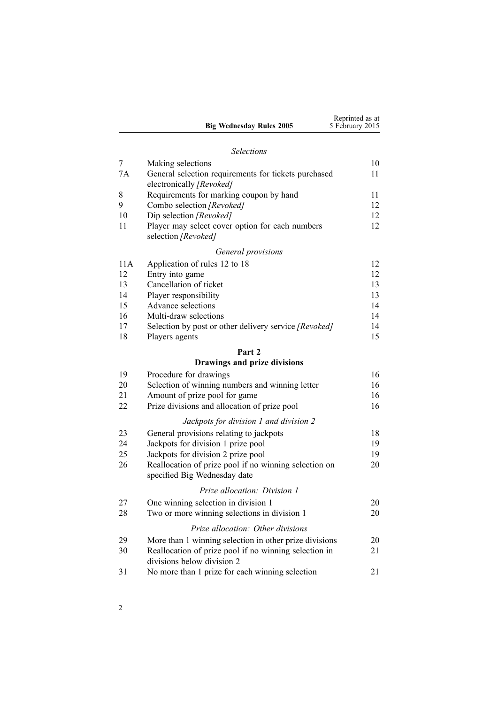|     | <b>Big Wednesday Rules 2005</b>                                                       | Reprinted as at<br>5 February 2015 |
|-----|---------------------------------------------------------------------------------------|------------------------------------|
|     |                                                                                       |                                    |
|     | <b>Selections</b>                                                                     |                                    |
| 7   | Making selections                                                                     | 10                                 |
| 7A  | General selection requirements for tickets purchased<br>electronically [Revoked]      | 11                                 |
| 8   | Requirements for marking coupon by hand                                               | 11                                 |
| 9   | Combo selection [Revoked]                                                             | 12                                 |
| 10  | Dip selection [Revoked]                                                               | 12                                 |
| 11  | Player may select cover option for each numbers<br>selection [Revoked]                | 12                                 |
|     | General provisions                                                                    |                                    |
| 11A | Application of rules 12 to 18                                                         | 12                                 |
| 12  | Entry into game                                                                       | 12                                 |
| 13  | Cancellation of ticket                                                                | 13                                 |
| 14  | Player responsibility                                                                 | 13                                 |
| 15  | Advance selections                                                                    | 14                                 |
| 16  | Multi-draw selections                                                                 | 14                                 |
| 17  | Selection by post or other delivery service [Revoked]                                 | 14                                 |
| 18  | Players agents                                                                        | 15                                 |
|     | Part 2                                                                                |                                    |
|     | Drawings and prize divisions                                                          |                                    |
| 19  | Procedure for drawings                                                                | 16                                 |
| 20  | Selection of winning numbers and winning letter                                       | 16                                 |
| 21  | Amount of prize pool for game                                                         | 16                                 |
| 22  | Prize divisions and allocation of prize pool                                          | 16                                 |
|     | Jackpots for division 1 and division 2                                                |                                    |
| 23  | General provisions relating to jackpots                                               | 18                                 |
| 24  | Jackpots for division 1 prize pool                                                    | 19                                 |
| 25  | Jackpots for division 2 prize pool                                                    | 19                                 |
| 26  | Reallocation of prize pool if no winning selection on<br>specified Big Wednesday date | 20                                 |
|     | Prize allocation: Division 1                                                          |                                    |
| 27  | One winning selection in division 1                                                   | 20                                 |
| 28  | Two or more winning selections in division 1                                          | 20                                 |
|     |                                                                                       |                                    |
|     | Prize allocation: Other divisions                                                     |                                    |
| 29  | More than 1 winning selection in other prize divisions                                | 20                                 |
| 30  | Reallocation of prize pool if no winning selection in<br>divisions below division 2   | 21                                 |
| 31  | No more than 1 prize for each winning selection                                       | 21                                 |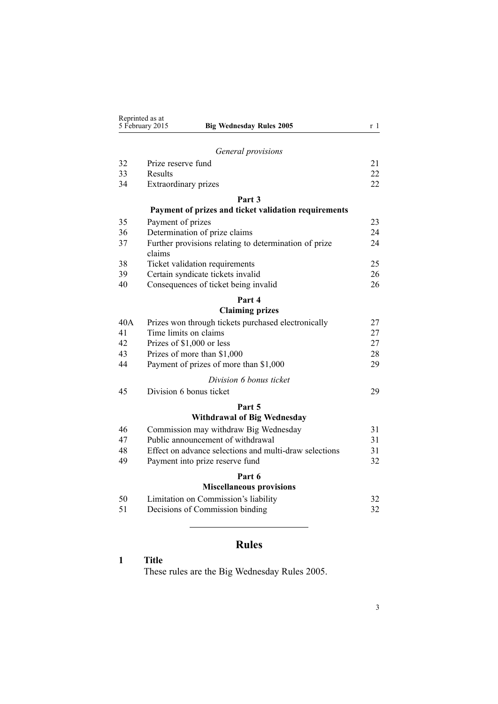<span id="page-2-0"></span>

| Reprinted as at<br>5 February 2015<br><b>Big Wednesday Rules 2005</b> |                                                                 | r 1 |
|-----------------------------------------------------------------------|-----------------------------------------------------------------|-----|
|                                                                       |                                                                 |     |
|                                                                       | General provisions                                              |     |
| 32                                                                    | Prize reserve fund                                              | 21  |
| 33                                                                    | Results                                                         | 22  |
| 34                                                                    | Extraordinary prizes                                            | 22  |
|                                                                       | Part 3                                                          |     |
|                                                                       | Payment of prizes and ticket validation requirements            |     |
| 35                                                                    | Payment of prizes                                               | 23  |
| 36                                                                    | Determination of prize claims                                   | 24  |
| 37                                                                    | Further provisions relating to determination of prize<br>claims | 24  |
| 38                                                                    | Ticket validation requirements                                  | 25  |
| 39                                                                    | Certain syndicate tickets invalid                               | 26  |
| 40                                                                    | Consequences of ticket being invalid                            | 26  |
|                                                                       | Part 4                                                          |     |
|                                                                       | <b>Claiming prizes</b>                                          |     |
| 40A                                                                   | Prizes won through tickets purchased electronically             | 27  |
| 41                                                                    | Time limits on claims                                           | 27  |
| 42                                                                    | Prizes of \$1,000 or less                                       | 27  |
| 43                                                                    | Prizes of more than \$1,000                                     | 28  |
| 44                                                                    | Payment of prizes of more than \$1,000                          | 29  |
|                                                                       | Division 6 bonus ticket                                         |     |
| 45                                                                    | Division 6 bonus ticket                                         | 29  |
|                                                                       | Part 5                                                          |     |
|                                                                       | <b>Withdrawal of Big Wednesday</b>                              |     |
| 46                                                                    | Commission may withdraw Big Wednesday                           | 31  |
| 47                                                                    | Public announcement of withdrawal                               | 31  |
| 48                                                                    | Effect on advance selections and multi-draw selections          | 31  |
| 49                                                                    | Payment into prize reserve fund                                 | 32  |
|                                                                       | Part 6                                                          |     |
|                                                                       | <b>Miscellaneous provisions</b>                                 |     |
| 50                                                                    | Limitation on Commission's liability                            | 32  |
| 51                                                                    | Decisions of Commission binding                                 | 32  |
|                                                                       |                                                                 |     |

# **Rules**

# **1 Title**

These rules are the Big Wednesday Rules 2005.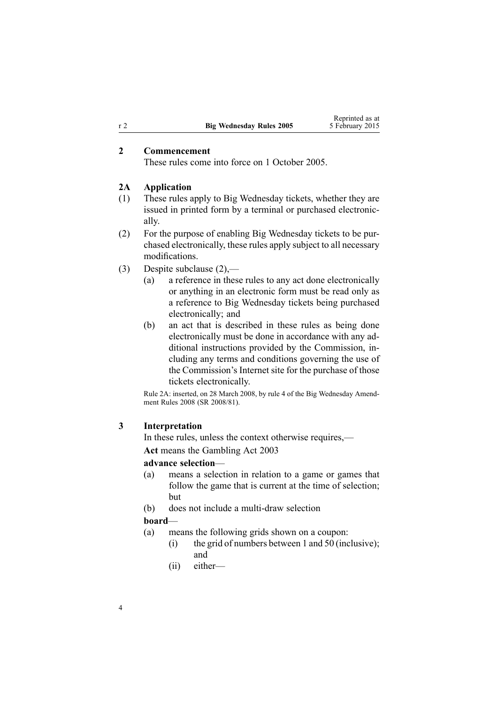## **2 Commencement**

These rules come into force on 1 October 2005.

#### **2A Application**

- (1) These rules apply to Big Wednesday tickets, whether they are issued in printed form by <sup>a</sup> terminal or purchased electronically.
- (2) For the purpose of enabling Big Wednesday tickets to be purchased electronically, these rules apply subject to all necessary modifications.
- (3) Despite subclause (2),—
	- (a) <sup>a</sup> reference in these rules to any act done electronically or anything in an electronic form must be read only as <sup>a</sup> reference to Big Wednesday tickets being purchased electronically; and
	- (b) an act that is described in these rules as being done electronically must be done in accordance with any additional instructions provided by the Commission, including any terms and conditions governing the use of the Commission's Internet site for the purchase of those tickets electronically.

Rule 2A: inserted, on 28 March 2008, by [rule](http://www.legislation.govt.nz/pdflink.aspx?id=DLM1221007) 4 of the Big Wednesday Amendment Rules 2008 (SR 2008/81).

#### **3 Interpretation**

In these rules, unless the context otherwise requires,— **Act** means the [Gambling](http://www.legislation.govt.nz/pdflink.aspx?id=DLM207496) Act 2003

### **advance selection**—

- (a) means <sup>a</sup> selection in relation to <sup>a</sup> game or games that follow the game that is current at the time of selection; but
- (b) does not include <sup>a</sup> multi-draw selection

#### **board**—

- (a) means the following grids shown on <sup>a</sup> coupon:
	- (i) the grid of numbers between 1 and 50 (inclusive); and
	- (ii) either—

<span id="page-3-0"></span>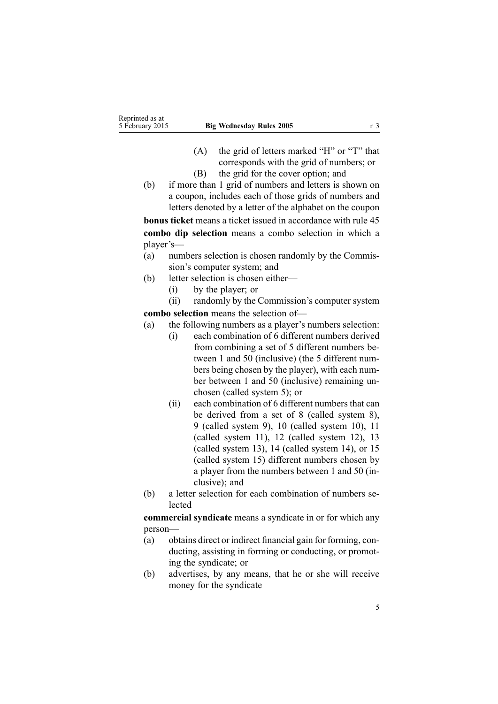- (A) the grid of letters marked "H" or "T" that corresponds with the grid of numbers; or
- (B) the grid for the cover option; and
- (b) if more than 1 grid of numbers and letters is shown on <sup>a</sup> coupon, includes each of those grids of numbers and letters denoted by <sup>a</sup> letter of the alphabet on the coupon

**bonus ticket** means <sup>a</sup> ticket issued in accordance with [rule](#page-28-0) 45 **combo dip selection** means <sup>a</sup> combo selection in which <sup>a</sup> player's—

- (a) numbers selection is chosen randomly by the Commission's computer system; and
- (b) letter selection is chosen either—
	- (i) by the player; or

(ii) randomly by the Commission's computer system **combo selection** means the selection of—

- (a) the following numbers as <sup>a</sup> player's numbers selection:
	- (i) each combination of 6 different numbers derived from combining <sup>a</sup> set of 5 different numbers between 1 and 50 (inclusive) (the 5 different numbers being chosen by the player), with each number between 1 and 50 (inclusive) remaining unchosen (called system 5); or
	- (ii) each combination of 6 different numbers that can be derived from <sup>a</sup> set of 8 (called system 8), 9 (called system 9), 10 (called system 10), 11 (called system 11), 12 (called system 12), 13 (called system 13), 14 (called system 14), or 15 (called system 15) different numbers chosen by <sup>a</sup> player from the numbers between 1 and 50 (inclusive): and
- (b) <sup>a</sup> letter selection for each combination of numbers selected

**commercial syndicate** means <sup>a</sup> syndicate in or for which any person—

- (a) obtains direct or indirect financial gain for forming, conducting, assisting in forming or conducting, or promoting the syndicate; or
- (b) advertises, by any means, that he or she will receive money for the syndicate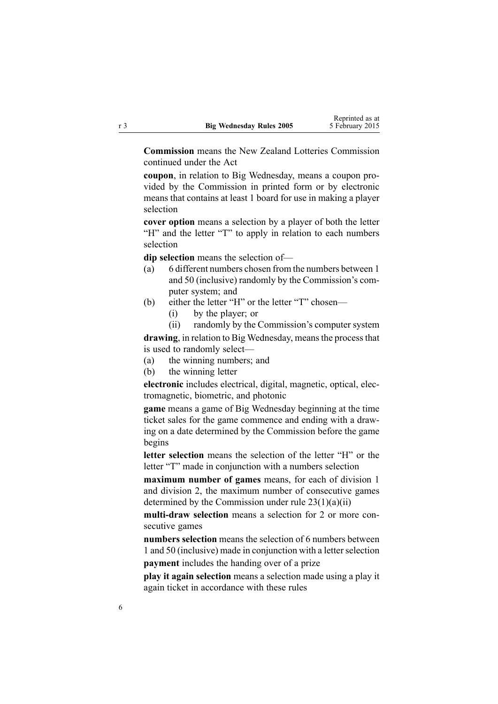**Commission** means the New Zealand Lotteries Commission continued under the Act

**coupon**, in relation to Big Wednesday, means <sup>a</sup> coupon provided by the Commission in printed form or by electronic means that contains at least 1 board for use in making <sup>a</sup> player selection

**cover option** means <sup>a</sup> selection by <sup>a</sup> player of both the letter "H" and the letter "T" to apply in relation to each numbers selection

**dip selection** means the selection of—

- (a) 6 different numbers chosen from the numbers between 1 and 50 (inclusive) randomly by the Commission's computer system; and
- (b) either the letter "H" or the letter "T" chosen—
	- (i) by the player; or
	- (ii) randomly by the Commission's computer system

drawing, in relation to Big Wednesday, means the process that is used to randomly select—

(a) the winning numbers; and

(b) the winning letter

**electronic** includes electrical, digital, magnetic, optical, electromagnetic, biometric, and photonic

**game** means <sup>a</sup> game of Big Wednesday beginning at the time ticket sales for the game commence and ending with <sup>a</sup> drawing on <sup>a</sup> date determined by the Commission before the game begins

**letter selection** means the selection of the letter "H" or the letter "T" made in conjunction with <sup>a</sup> numbers selection

**maximum number of games** means, for each of division 1 and division 2, the maximum number of consecutive games determined by the Commission under rule  $23(1)(a)(ii)$ 

**multi-draw selection** means <sup>a</sup> selection for 2 or more consecutive games

**numbers selection** means the selection of 6 numbers between 1 and 50 (inclusive) made in conjunction with a letter selection **paymen<sup>t</sup>** includes the handing over of <sup>a</sup> prize

**play it again selection** means <sup>a</sup> selection made using <sup>a</sup> play it again ticket in accordance with these rules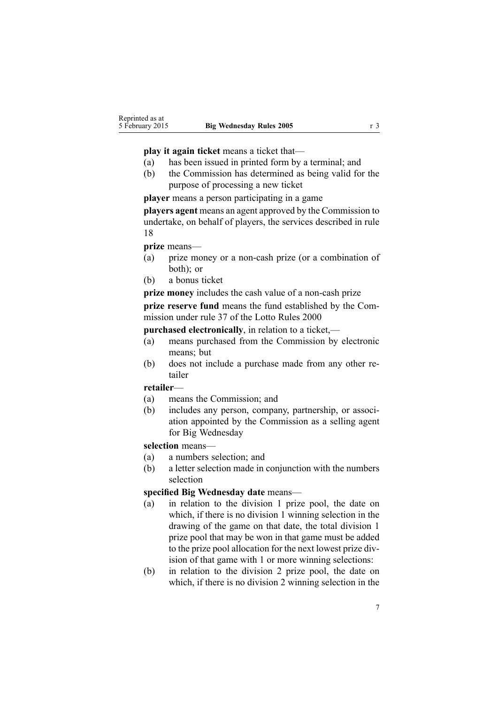#### **play it again ticket** means <sup>a</sup> ticket that—

- (a) has been issued in printed form by <sup>a</sup> terminal; and
- (b) the Commission has determined as being valid for the purpose of processing <sup>a</sup> new ticket

**player** means <sup>a</sup> person participating in <sup>a</sup> game

**players agen<sup>t</sup>** means an agen<sup>t</sup> approved by the Commission to undertake, on behalf of players, the services described in [rule](#page-14-0) [18](#page-14-0)

**prize** means—

- (a) prize money or <sup>a</sup> non-cash prize (or <sup>a</sup> combination of both); or
- (b) <sup>a</sup> bonus ticket

**prize money** includes the cash value of <sup>a</sup> non-cash prize

**prize reserve fund** means the fund established by the Commission under [rule](http://www.legislation.govt.nz/pdflink.aspx?id=DLM19765) 37 of the Lotto Rules 2000

**purchased electronically**, in relation to <sup>a</sup> ticket,—

- (a) means purchased from the Commission by electronic means; but
- (b) does not include <sup>a</sup> purchase made from any other retailer

### **retailer**—

- (a) means the Commission; and
- (b) includes any person, company, partnership, or association appointed by the Commission as <sup>a</sup> selling agen<sup>t</sup> for Big Wednesday

### **selection** means—

- (a) <sup>a</sup> numbers selection; and
- (b) <sup>a</sup> letter selection made in conjunction with the numbers selection

## **specified Big Wednesday date** means—

- (a) in relation to the division 1 prize pool, the date on which, if there is no division 1 winning selection in the drawing of the game on that date, the total division 1 prize pool that may be won in that game must be added to the prize pool allocation for the next lowest prize division of that game with 1 or more winning selections:
- (b) in relation to the division 2 prize pool, the date on which, if there is no division 2 winning selection in the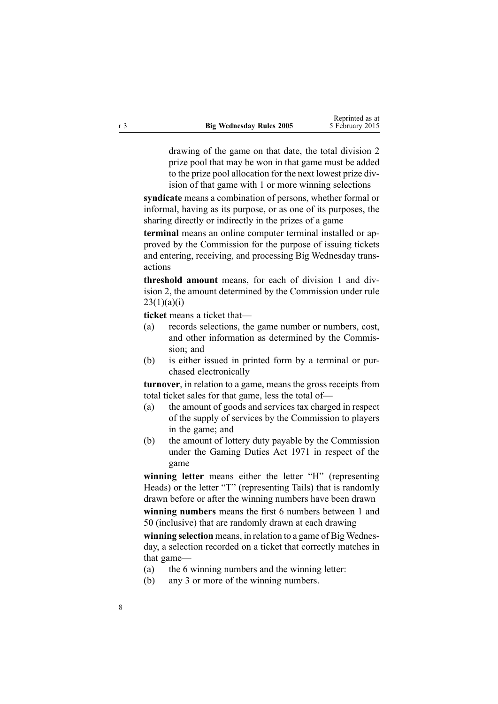drawing of the game on that date, the total division 2 prize pool that may be won in that game must be added to the prize pool allocation for the next lowest prize division of that game with 1 or more winning selections

**syndicate** means <sup>a</sup> combination of persons, whether formal or informal, having as its purpose, or as one of its purposes, the sharing directly or indirectly in the prizes of <sup>a</sup> game

**terminal** means an online computer terminal installed or approved by the Commission for the purpose of issuing tickets and entering, receiving, and processing Big Wednesday transactions

**threshold amount** means, for each of division 1 and division 2, the amount determined by the Commission under [rule](#page-17-0)  $23(1)(a)(i)$ 

**ticket** means <sup>a</sup> ticket that—

- (a) records selections, the game number or numbers, cost, and other information as determined by the Commission; and
- (b) is either issued in printed form by <sup>a</sup> terminal or purchased electronically

**turnover**, in relation to <sup>a</sup> game, means the gross receipts from total ticket sales for that game, less the total of—

- (a) the amount of goods and services tax charged in respec<sup>t</sup> of the supply of services by the Commission to players in the game; and
- (b) the amount of lottery duty payable by the Commission under the [Gaming](http://www.legislation.govt.nz/pdflink.aspx?id=DLM398477) Duties Act 1971 in respec<sup>t</sup> of the game

**winning letter** means either the letter "H" (representing Heads) or the letter "T" (representing Tails) that is randomly drawn before or after the winning numbers have been drawn

**winning numbers** means the first 6 numbers between 1 and 50 (inclusive) that are randomly drawn at each drawing

**winning selection** means, in relation to <sup>a</sup> game of Big Wednesday, <sup>a</sup> selection recorded on <sup>a</sup> ticket that correctly matches in that game—

- (a) the 6 winning numbers and the winning letter:
- (b) any 3 or more of the winning numbers.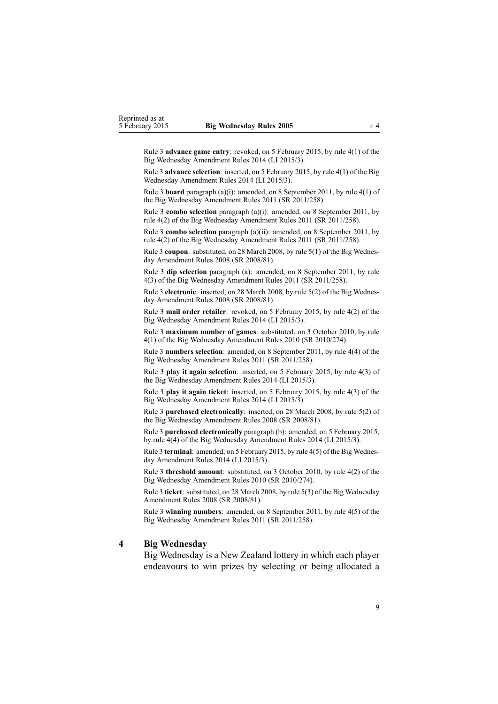<span id="page-8-0"></span>Rule 3 **advance game entry**: revoked, on 5 February 2015, by rule [4\(1\)](http://www.legislation.govt.nz/pdflink.aspx?id=DLM6322923) of the Big Wednesday Amendment Rules 2014 (LI 2015/3).

Rule 3 **advance selection**: inserted, on 5 February 2015, by rule [4\(1\)](http://www.legislation.govt.nz/pdflink.aspx?id=DLM6322923) of the Big Wednesday Amendment Rules 2014 (LI 2015/3).

Rule 3 **board** paragraph (a)(i): amended, on 8 September 2011, by rule [4\(1\)](http://www.legislation.govt.nz/pdflink.aspx?id=DLM3848524) of the Big Wednesday Amendment Rules 2011 (SR 2011/258).

Rule 3 **combo selection** paragraph (a)(i): amended, on 8 September 2011, by rule [4\(2\)](http://www.legislation.govt.nz/pdflink.aspx?id=DLM3848524) of the Big Wednesday Amendment Rules 2011 (SR 2011/258).

Rule 3 **combo selection** paragraph (a)(ii): amended, on 8 September 2011, by rule [4\(2\)](http://www.legislation.govt.nz/pdflink.aspx?id=DLM3848524) of the Big Wednesday Amendment Rules 2011 (SR 2011/258).

Rule 3 **coupon**: substituted, on 28 March 2008, by rule [5\(1\)](http://www.legislation.govt.nz/pdflink.aspx?id=DLM1221009) of the Big Wednesday Amendment Rules 2008 (SR 2008/81).

Rule 3 **dip selection** paragraph (a): amended, on 8 September 2011, by [rule](http://www.legislation.govt.nz/pdflink.aspx?id=DLM3848524) [4\(3\)](http://www.legislation.govt.nz/pdflink.aspx?id=DLM3848524) of the Big Wednesday Amendment Rules 2011 (SR 2011/258).

Rule 3 **electronic**: inserted, on 28 March 2008, by rule [5\(2\)](http://www.legislation.govt.nz/pdflink.aspx?id=DLM1221009) of the Big Wednesday Amendment Rules 2008 (SR 2008/81).

Rule 3 **mail order retailer**: revoked, on 5 February 2015, by rule [4\(2\)](http://www.legislation.govt.nz/pdflink.aspx?id=DLM6322923) of the Big Wednesday Amendment Rules 2014 (LI 2015/3).

Rule 3 **maximum number of games**: substituted, on 3 October 2010, by [rule](http://www.legislation.govt.nz/pdflink.aspx?id=DLM3166107) [4\(1\)](http://www.legislation.govt.nz/pdflink.aspx?id=DLM3166107) of the Big Wednesday Amendment Rules 2010 (SR 2010/274).

Rule 3 **numbers selection**: amended, on 8 September 2011, by rule [4\(4\)](http://www.legislation.govt.nz/pdflink.aspx?id=DLM3848524) of the Big Wednesday Amendment Rules 2011 (SR 2011/258).

Rule 3 **play it again selection**: inserted, on 5 February 2015, by rule [4\(3\)](http://www.legislation.govt.nz/pdflink.aspx?id=DLM6322923) of the Big Wednesday Amendment Rules 2014 (LI 2015/3).

Rule 3 **play it again ticket**: inserted, on 5 February 2015, by rule [4\(3\)](http://www.legislation.govt.nz/pdflink.aspx?id=DLM6322923) of the Big Wednesday Amendment Rules 2014 (LI 2015/3).

Rule 3 **purchased electronically**: inserted, on 28 March 2008, by rule [5\(2\)](http://www.legislation.govt.nz/pdflink.aspx?id=DLM1221009) of the Big Wednesday Amendment Rules 2008 (SR 2008/81).

Rule 3 **purchased electronically** paragraph (b): amended, on 5 February 2015, by rule [4\(4\)](http://www.legislation.govt.nz/pdflink.aspx?id=DLM6322923) of the Big Wednesday Amendment Rules 2014 (LI 2015/3).

Rule 3 **terminal**: amended, on 5 February 2015, by rule [4\(5\)](http://www.legislation.govt.nz/pdflink.aspx?id=DLM6322923) of the Big Wednesday Amendment Rules 2014 (LI 2015/3).

Rule 3 **threshold amount**: substituted, on 3 October 2010, by rule [4\(2\)](http://www.legislation.govt.nz/pdflink.aspx?id=DLM3166107) of the Big Wednesday Amendment Rules 2010 (SR 2010/274).

Rule 3 **ticket**: substituted, on 28 March 2008, by rule [5\(3\)](http://www.legislation.govt.nz/pdflink.aspx?id=DLM1221009) of the Big Wednesday Amendment Rules 2008 (SR 2008/81).

Rule 3 **winning numbers**: amended, on 8 September 2011, by rule [4\(5\)](http://www.legislation.govt.nz/pdflink.aspx?id=DLM3848524) of the Big Wednesday Amendment Rules 2011 (SR 2011/258).

#### **4 Big Wednesday**

Big Wednesday is <sup>a</sup> New Zealand lottery in which each player endeavours to win prizes by selecting or being allocated <sup>a</sup>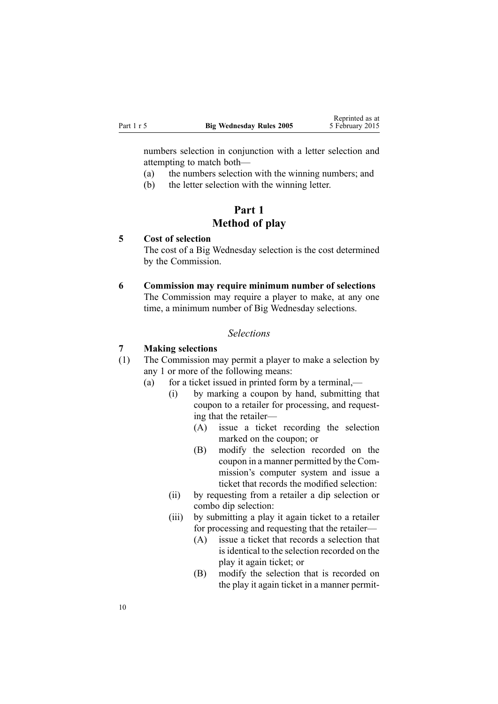<span id="page-9-0"></span>numbers selection in conjunction with <sup>a</sup> letter selection and attempting to match both—

- (a) the numbers selection with the winning numbers; and
- (b) the letter selection with the winning letter.

## **Part 1 Method of play**

## **5 Cost of selection**

The cost of <sup>a</sup> Big Wednesday selection is the cost determined by the Commission.

## **6 Commission may require minimum number of selections**

The Commission may require <sup>a</sup> player to make, at any one time, <sup>a</sup> minimum number of Big Wednesday selections.

#### *Selections*

#### **7 Making selections**

- (1) The Commission may permit <sup>a</sup> player to make <sup>a</sup> selection by any 1 or more of the following means:
	- (a) for <sup>a</sup> ticket issued in printed form by <sup>a</sup> terminal,—
		- (i) by marking <sup>a</sup> coupon by hand, submitting that coupon to <sup>a</sup> retailer for processing, and requesting that the retailer—
			- (A) issue <sup>a</sup> ticket recording the selection marked on the coupon; or
			- (B) modify the selection recorded on the coupon in <sup>a</sup> manner permitted by the Commission's computer system and issue <sup>a</sup> ticket that records the modified selection:
		- (ii) by requesting from <sup>a</sup> retailer <sup>a</sup> dip selection or combo dip selection:
		- (iii) by submitting <sup>a</sup> play it again ticket to <sup>a</sup> retailer for processing and requesting that the retailer—
			- (A) issue <sup>a</sup> ticket that records <sup>a</sup> selection that is identical to the selection recorded on the play it again ticket; or
			- (B) modify the selection that is recorded on the play it again ticket in <sup>a</sup> manner permit-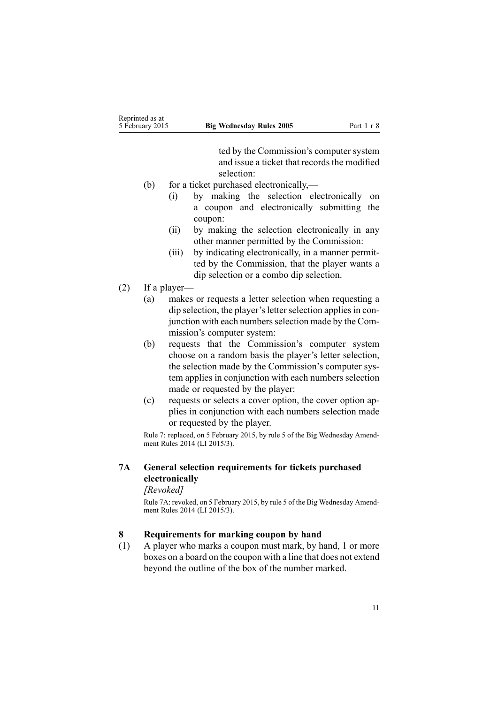ted by the Commission's computer system and issue <sup>a</sup> ticket that records the modified selection:

- <span id="page-10-0"></span>(b) for <sup>a</sup> ticket purchased electronically,—
	- (i) by making the selection electronically on <sup>a</sup> coupon and electronically submitting the coupon:
	- (ii) by making the selection electronically in any other manner permitted by the Commission:
	- (iii) by indicating electronically, in <sup>a</sup> manner permitted by the Commission, that the player wants <sup>a</sup> dip selection or <sup>a</sup> combo dip selection.
- (2) If <sup>a</sup> player—
	- (a) makes or requests <sup>a</sup> letter selection when requesting <sup>a</sup> dip selection, the player's letter selection applies in conjunction with each numbers selection made by the Commission's computer system:
	- (b) requests that the Commission's computer system choose on <sup>a</sup> random basis the player's letter selection, the selection made by the Commission's computer system applies in conjunction with each numbers selection made or requested by the player:
	- (c) requests or selects <sup>a</sup> cover option, the cover option applies in conjunction with each numbers selection made or requested by the player.

Rule 7: replaced, on 5 February 2015, by [rule](http://www.legislation.govt.nz/pdflink.aspx?id=DLM6322934) 5 of the Big Wednesday Amendment Rules 2014 (LI 2015/3).

## **7A General selection requirements for tickets purchased electronically**

#### *[Revoked]*

Rule 7A: revoked, on 5 February 2015, by [rule](http://www.legislation.govt.nz/pdflink.aspx?id=DLM6322934) 5 of the Big Wednesday Amendment Rules 2014 (LI 2015/3).

## **8 Requirements for marking coupon by hand**

(1) A player who marks <sup>a</sup> coupon must mark, by hand, 1 or more boxes on <sup>a</sup> board on the coupon with <sup>a</sup> line that does not extend beyond the outline of the box of the number marked.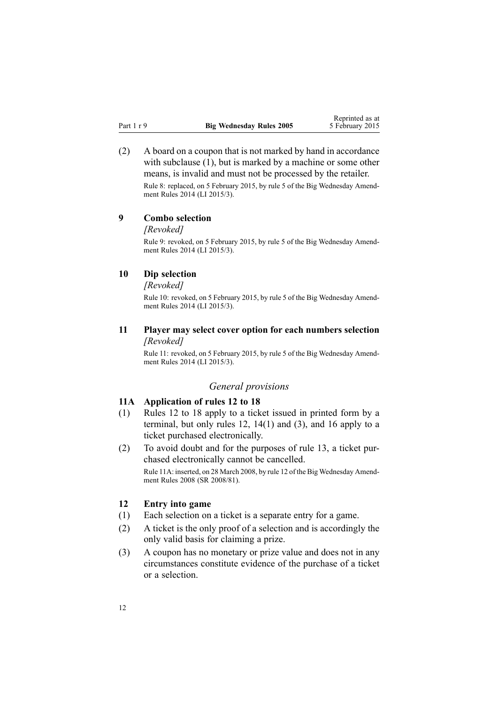<span id="page-11-0"></span>(2) A board on <sup>a</sup> coupon that is not marked by hand in accordance with subclause (1), but is marked by a machine or some other means, is invalid and must not be processed by the retailer.

Rule 8: replaced, on 5 February 2015, by [rule](http://www.legislation.govt.nz/pdflink.aspx?id=DLM6322934) 5 of the Big Wednesday Amendment Rules 2014 (LI 2015/3).

## **9 Combo selection**

*[Revoked]*

Rule 9: revoked, on 5 February 2015, by [rule](http://www.legislation.govt.nz/pdflink.aspx?id=DLM6322934) 5 of the Big Wednesday Amendment Rules 2014 (LI 2015/3).

#### **10 Dip selection**

*[Revoked]*

Rule 10: revoked, on 5 February 2015, by [rule](http://www.legislation.govt.nz/pdflink.aspx?id=DLM6322934) 5 of the Big Wednesday Amendment Rules 2014 (LI 2015/3).

## **11 Player may select cover option for each numbers selection** *[Revoked]*

Rule 11: revoked, on 5 February 2015, by [rule](http://www.legislation.govt.nz/pdflink.aspx?id=DLM6322934) 5 of the Big Wednesday Amendment Rules 2014 (LI 2015/3).

## *General provisions*

## **11A Application of rules 12 to 18**

- (1) Rules 12 to 18 apply to <sup>a</sup> ticket issued in printed form by <sup>a</sup> terminal, but only rules  $12$ ,  $14(1)$  and  $(3)$ , and  $16$  apply to a ticket purchased electronically.
- (2) To avoid doubt and for the purposes of [rule](#page-12-0) 13, <sup>a</sup> ticket purchased electronically cannot be cancelled.

Rule 11A: inserted, on 28 March 2008, by [rule](http://www.legislation.govt.nz/pdflink.aspx?id=DLM1221028) 12 of the Big Wednesday Amendment Rules 2008 (SR 2008/81).

#### **12 Entry into game**

- (1) Each selection on <sup>a</sup> ticket is <sup>a</sup> separate entry for <sup>a</sup> game.
- (2) A ticket is the only proof of <sup>a</sup> selection and is accordingly the only valid basis for claiming <sup>a</sup> prize.
- (3) A coupon has no monetary or prize value and does not in any circumstances constitute evidence of the purchase of <sup>a</sup> ticket or <sup>a</sup> selection.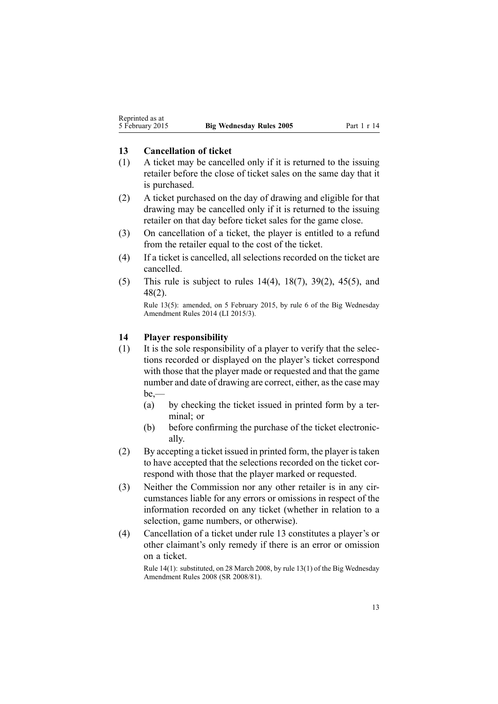### <span id="page-12-0"></span>**13 Cancellation of ticket**

- (1) A ticket may be cancelled only if it is returned to the issuing retailer before the close of ticket sales on the same day that it is purchased.
- (2) A ticket purchased on the day of drawing and eligible for that drawing may be cancelled only if it is returned to the issuing retailer on that day before ticket sales for the game close.
- (3) On cancellation of <sup>a</sup> ticket, the player is entitled to <sup>a</sup> refund from the retailer equal to the cost of the ticket.
- (4) If <sup>a</sup> ticket is cancelled, all selections recorded on the ticket are cancelled.
- (5) This rule is subject to rules 14(4), [18\(7\)](#page-14-0), [39\(2\)](#page-25-0), [45\(5\)](#page-28-0), and [48\(2\)](#page-30-0).

Rule 13(5): amended, on 5 February 2015, by [rule](http://www.legislation.govt.nz/pdflink.aspx?id=DLM6322937) 6 of the Big Wednesday Amendment Rules 2014 (LI 2015/3).

## **14 Player responsibility**

- (1) It is the sole responsibility of <sup>a</sup> player to verify that the selections recorded or displayed on the player's ticket correspond with those that the player made or requested and that the game number and date of drawing are correct, either, as the case may be,—
	- (a) by checking the ticket issued in printed form by <sup>a</sup> terminal; or
	- (b) before confirming the purchase of the ticket electronically.
- (2) By accepting <sup>a</sup> ticket issued in printed form, the player istaken to have accepted that the selections recorded on the ticket correspond with those that the player marked or requested.
- (3) Neither the Commission nor any other retailer is in any circumstances liable for any errors or omissions in respec<sup>t</sup> of the information recorded on any ticket (whether in relation to <sup>a</sup> selection, game numbers, or otherwise).
- (4) Cancellation of <sup>a</sup> ticket under rule 13 constitutes <sup>a</sup> player's or other claimant's only remedy if there is an error or omission on <sup>a</sup> ticket.

Rule 14(1): substituted, on 28 March 2008, by rule [13\(1\)](http://www.legislation.govt.nz/pdflink.aspx?id=DLM1221030) of the Big Wednesday Amendment Rules 2008 (SR 2008/81).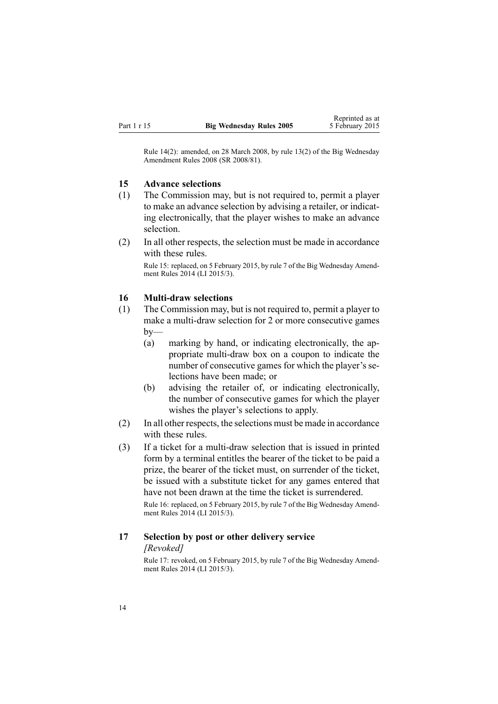<span id="page-13-0"></span>Rule 14(2): amended, on 28 March 2008, by rule [13\(2\)](http://www.legislation.govt.nz/pdflink.aspx?id=DLM1221030) of the Big Wednesday Amendment Rules 2008 (SR 2008/81).

### **15 Advance selections**

- (1) The Commission may, but is not required to, permit <sup>a</sup> player to make an advance selection by advising <sup>a</sup> retailer, or indicating electronically, that the player wishes to make an advance selection.
- (2) In all other respects, the selection must be made in accordance with these rules.

Rule 15: replaced, on 5 February 2015, by [rule](http://www.legislation.govt.nz/pdflink.aspx?id=DLM6322938) 7 of the Big Wednesday Amendment Rules 2014 (LI 2015/3).

#### **16 Multi-draw selections**

- (1) The Commission may, but is not required to, permit <sup>a</sup> player to make <sup>a</sup> multi-draw selection for 2 or more consecutive games  $by-$ 
	- (a) marking by hand, or indicating electronically, the appropriate multi-draw box on <sup>a</sup> coupon to indicate the number of consecutive games for which the player's selections have been made; or
	- (b) advising the retailer of, or indicating electronically, the number of consecutive games for which the player wishes the player's selections to apply.
- (2) In all other respects, the selections must be made in accordance with these rules.
- (3) If <sup>a</sup> ticket for <sup>a</sup> multi-draw selection that is issued in printed form by <sup>a</sup> terminal entitles the bearer of the ticket to be paid <sup>a</sup> prize, the bearer of the ticket must, on surrender of the ticket, be issued with <sup>a</sup> substitute ticket for any games entered that have not been drawn at the time the ticket is surrendered.

Rule 16: replaced, on 5 February 2015, by [rule](http://www.legislation.govt.nz/pdflink.aspx?id=DLM6322938) 7 of the Big Wednesday Amendment Rules 2014 (LI 2015/3).

## **17 Selection by post or other delivery service** *[Revoked]*

Rule 17: revoked, on 5 February 2015, by [rule](http://www.legislation.govt.nz/pdflink.aspx?id=DLM6322938) 7 of the Big Wednesday Amendment Rules 2014 (LI 2015/3).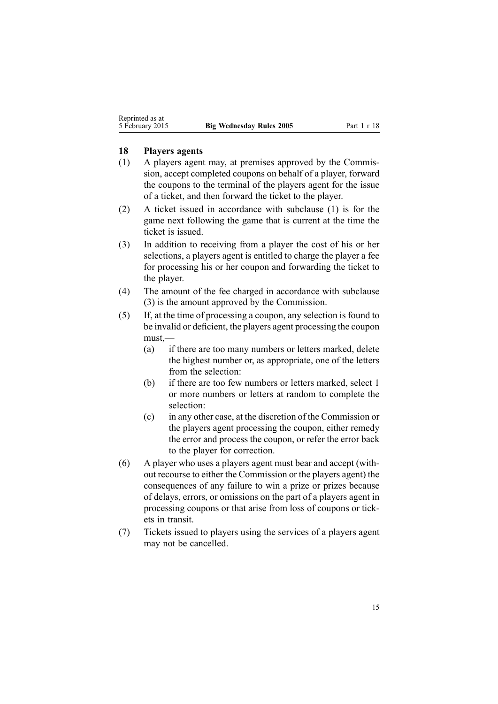#### <span id="page-14-0"></span>**18 Players agents**

- (1) A players agen<sup>t</sup> may, at premises approved by the Commission, accep<sup>t</sup> completed coupons on behalf of <sup>a</sup> player, forward the coupons to the terminal of the players agen<sup>t</sup> for the issue of <sup>a</sup> ticket, and then forward the ticket to the player.
- (2) A ticket issued in accordance with subclause (1) is for the game next following the game that is current at the time the ticket is issued.
- (3) In addition to receiving from <sup>a</sup> player the cost of his or her selections, <sup>a</sup> players agen<sup>t</sup> is entitled to charge the player <sup>a</sup> fee for processing his or her coupon and forwarding the ticket to the player.
- (4) The amount of the fee charged in accordance with subclause (3) is the amount approved by the Commission.
- (5) If, at the time of processing <sup>a</sup> coupon, any selection is found to be invalid or deficient, the players agen<sup>t</sup> processing the coupon must,—
	- (a) if there are too many numbers or letters marked, delete the highest number or, as appropriate, one of the letters from the selection:
	- (b) if there are too few numbers or letters marked, select 1 or more numbers or letters at random to complete the selection:
	- (c) in any other case, at the discretion of the Commission or the players agen<sup>t</sup> processing the coupon, either remedy the error and process the coupon, or refer the error back to the player for correction.
- (6) A player who uses <sup>a</sup> players agen<sup>t</sup> must bear and accep<sup>t</sup> (without recourse to either the Commission or the players agent) the consequences of any failure to win <sup>a</sup> prize or prizes because of delays, errors, or omissions on the par<sup>t</sup> of <sup>a</sup> players agen<sup>t</sup> in processing coupons or that arise from loss of coupons or tickets in transit.
- (7) Tickets issued to players using the services of <sup>a</sup> players agen<sup>t</sup> may not be cancelled.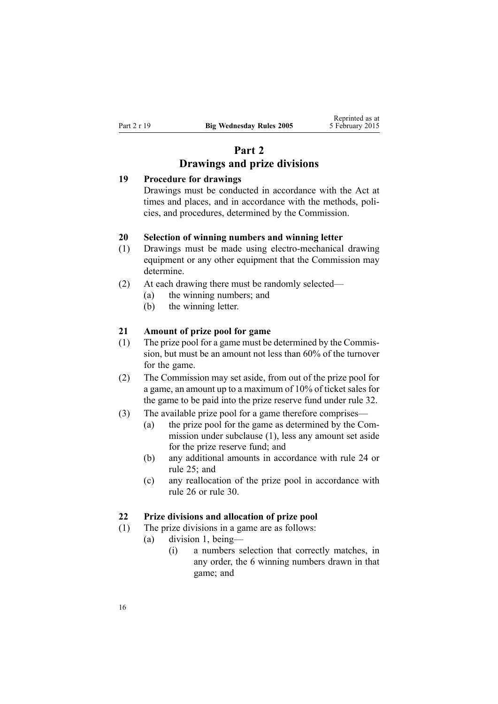# **Part 2 Drawings and prize divisions**

## <span id="page-15-0"></span>**19 Procedure for drawings**

Drawings must be conducted in accordance with the Act at times and places, and in accordance with the methods, policies, and procedures, determined by the Commission.

## **20 Selection of winning numbers and winning letter**

- (1) Drawings must be made using electro-mechanical drawing equipment or any other equipment that the Commission may determine.
- (2) At each drawing there must be randomly selected—
	- (a) the winning numbers; and
	- (b) the winning letter.

#### **21 Amount of prize pool for game**

- (1) The prize pool for <sup>a</sup> game must be determined by the Commission, but must be an amount not less than 60% of the turnover for the game.
- (2) The Commission may set aside, from out of the prize pool for <sup>a</sup> game, an amount up to <sup>a</sup> maximum of 10% of ticket sales for the game to be paid into the prize reserve fund under [rule](#page-20-0) 32.
- (3) The available prize pool for <sup>a</sup> game therefore comprises—
	- (a) the prize pool for the game as determined by the Commission under subclause (1), less any amount set aside for the prize reserve fund; and
	- (b) any additional amounts in accordance with [rule](#page-18-0) 24 or [rule](#page-18-0) 25; and
	- (c) any reallocation of the prize pool in accordance with [rule](#page-19-0) 26 or [rule](#page-20-0) 30.

### **22 Prize divisions and allocation of prize pool**

- (1) The prize divisions in <sup>a</sup> game are as follows:
	- (a) division 1, being—
		- (i) <sup>a</sup> numbers selection that correctly matches, in any order, the 6 winning numbers drawn in that game; and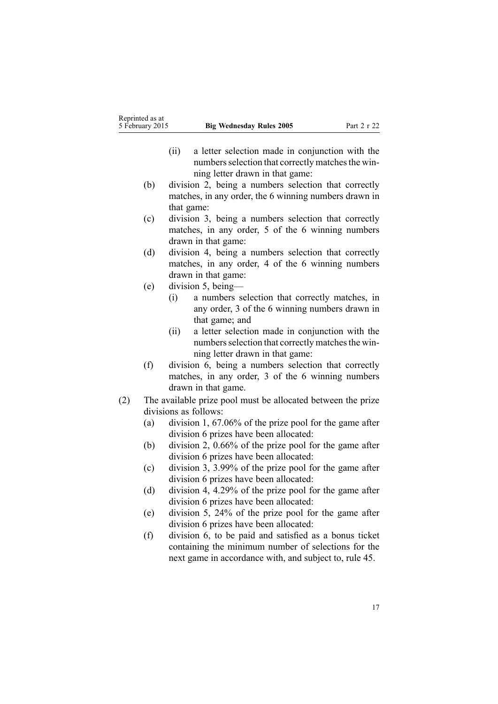- (ii) <sup>a</sup> letter selection made in conjunction with the numbers selection that correctly matches the winning letter drawn in that game:
- (b) division 2, being <sup>a</sup> numbers selection that correctly matches, in any order, the 6 winning numbers drawn in that game:
- (c) division 3, being <sup>a</sup> numbers selection that correctly matches, in any order, 5 of the 6 winning numbers drawn in that game:
- (d) division 4, being <sup>a</sup> numbers selection that correctly matches, in any order, 4 of the 6 winning numbers drawn in that game:
- (e) division 5, being—
	- (i) <sup>a</sup> numbers selection that correctly matches, in any order, 3 of the 6 winning numbers drawn in that game; and
	- (ii) <sup>a</sup> letter selection made in conjunction with the numbers selection that correctly matches the winning letter drawn in that game:
- (f) division 6, being <sup>a</sup> numbers selection that correctly matches, in any order, 3 of the 6 winning numbers drawn in that game.
- (2) The available prize pool must be allocated between the prize divisions as follows:
	- (a) division 1, 67.06% of the prize pool for the game after division 6 prizes have been allocated:
	- (b) division 2, 0.66% of the prize pool for the game after division 6 prizes have been allocated:
	- (c) division 3, 3.99% of the prize pool for the game after division 6 prizes have been allocated:
	- (d) division 4, 4.29% of the prize pool for the game after division 6 prizes have been allocated:
	- (e) division 5, 24% of the prize pool for the game after division 6 prizes have been allocated:
	- (f) division 6, to be paid and satisfied as <sup>a</sup> bonus ticket containing the minimum number of selections for the next game in accordance with, and subject to, [rule](#page-28-0) 45.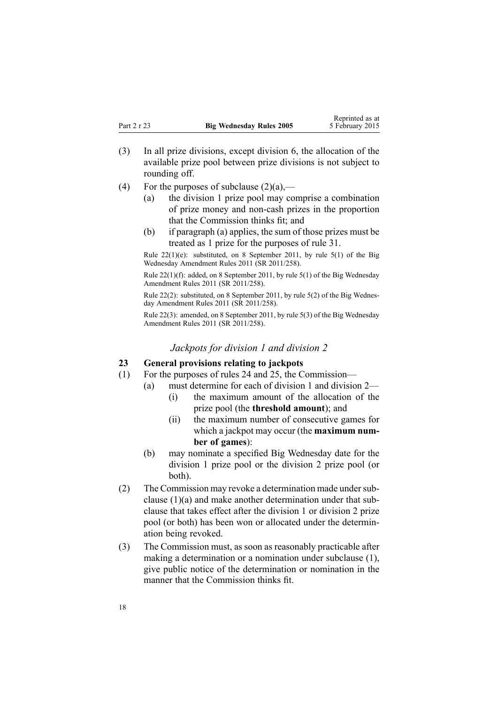- <span id="page-17-0"></span>(3) In all prize divisions, excep<sup>t</sup> division 6, the allocation of the available prize pool between prize divisions is not subject to rounding off.
- (4) For the purposes of subclause  $(2)(a)$ ,—
	- (a) the division 1 prize pool may comprise <sup>a</sup> combination of prize money and non-cash prizes in the proportion that the Commission thinks fit; and
	- (b) if paragraph (a) applies, the sum of those prizes must be treated as 1 prize for the purposes of [rule](#page-20-0) 31.

Rule  $22(1)(e)$ : substituted, on 8 September 2011, by rule  $5(1)$  of the Big Wednesday Amendment Rules 2011 (SR 2011/258).

Rule 22(1)(f): added, on 8 September 2011, by rule [5\(1\)](http://www.legislation.govt.nz/pdflink.aspx?id=DLM3848530) of the Big Wednesday Amendment Rules 2011 (SR 2011/258).

Rule 22(2): substituted, on 8 September 2011, by rule [5\(2\)](http://www.legislation.govt.nz/pdflink.aspx?id=DLM3848530) of the Big Wednesday Amendment Rules 2011 (SR 2011/258).

Rule 22(3): amended, on 8 September 2011, by rule [5\(3\)](http://www.legislation.govt.nz/pdflink.aspx?id=DLM3848530) of the Big Wednesday Amendment Rules 2011 (SR 2011/258).

#### *Jackpots for division 1 and division 2*

#### **23 General provisions relating to jackpots**

- (1) For the purposes of [rules](#page-18-0) 24 and [25](#page-18-0), the Commission—
	- (a) must determine for each of division 1 and division 2—
		- (i) the maximum amount of the allocation of the prize pool (the **threshold amount**); and
		- (ii) the maximum number of consecutive games for which <sup>a</sup> jackpot may occur (the **maximum number of games**):
	- (b) may nominate <sup>a</sup> specified Big Wednesday date for the division 1 prize pool or the division 2 prize pool (or both).
- (2) The Commission may revoke a determination made under subclause (1)(a) and make another determination under that subclause that takes effect after the division 1 or division 2 prize pool (or both) has been won or allocated under the determination being revoked.
- (3) The Commission must, as soon as reasonably practicable after making <sup>a</sup> determination or <sup>a</sup> nomination under subclause (1), give public notice of the determination or nomination in the manner that the Commission thinks fit.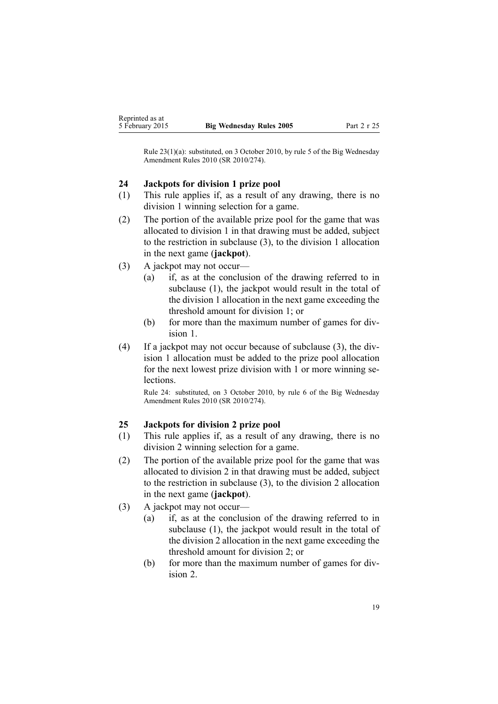<span id="page-18-0"></span>Rule 23(1)(a): substituted, on 3 October 2010, by [rule](http://www.legislation.govt.nz/pdflink.aspx?id=DLM3166114) 5 of the Big Wednesday Amendment Rules 2010 (SR 2010/274).

### **24 Jackpots for division 1 prize pool**

- (1) This rule applies if, as <sup>a</sup> result of any drawing, there is no division 1 winning selection for <sup>a</sup> game.
- (2) The portion of the available prize pool for the game that was allocated to division 1 in that drawing must be added, subject to the restriction in subclause (3), to the division 1 allocation in the next game (**jackpot**).
- (3) A jackpot may not occur—
	- (a) if, as at the conclusion of the drawing referred to in subclause (1), the jackpot would result in the total of the division 1 allocation in the next game exceeding the threshold amount for division 1; or
	- (b) for more than the maximum number of games for division 1.
- (4) If <sup>a</sup> jackpot may not occur because of subclause (3), the division 1 allocation must be added to the prize pool allocation for the next lowest prize division with 1 or more winning selections.

Rule 24: substituted, on 3 October 2010, by [rule](http://www.legislation.govt.nz/pdflink.aspx?id=DLM3166115) 6 of the Big Wednesday Amendment Rules 2010 (SR 2010/274).

## **25 Jackpots for division 2 prize pool**

- (1) This rule applies if, as <sup>a</sup> result of any drawing, there is no division 2 winning selection for <sup>a</sup> game.
- (2) The portion of the available prize pool for the game that was allocated to division 2 in that drawing must be added, subject to the restriction in subclause (3), to the division 2 allocation in the next game (**jackpot**).
- (3) A jackpot may not occur—
	- (a) if, as at the conclusion of the drawing referred to in subclause (1), the jackpot would result in the total of the division 2 allocation in the next game exceeding the threshold amount for division 2; or
	- (b) for more than the maximum number of games for division 2.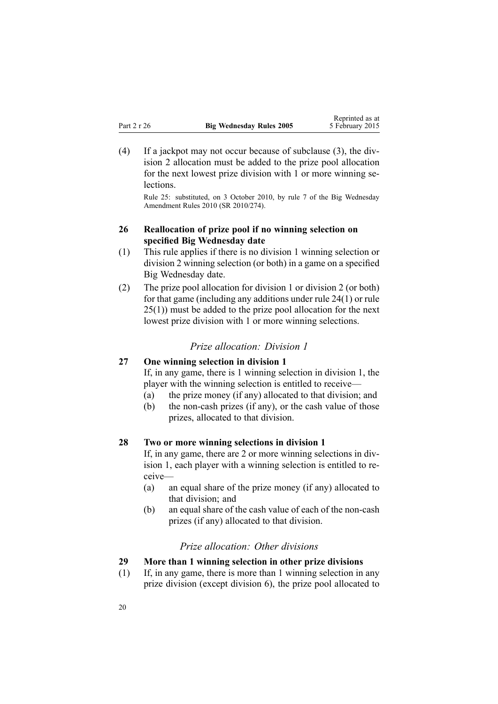<span id="page-19-0"></span>(4) If <sup>a</sup> jackpot may not occur because of subclause (3), the division 2 allocation must be added to the prize pool allocation for the next lowest prize division with 1 or more winning selections.

Rule 25: substituted, on 3 October 2010, by [rule](http://www.legislation.govt.nz/pdflink.aspx?id=DLM3166117) 7 of the Big Wednesday Amendment Rules 2010 (SR 2010/274).

## **26 Reallocation of prize pool if no winning selection on specified Big Wednesday date**

- (1) This rule applies if there is no division 1 winning selection or division 2 winning selection (or both) in <sup>a</sup> game on <sup>a</sup> specified Big Wednesday date.
- (2) The prize pool allocation for division 1 or division 2 (or both) for that game (including any additions under rule [24\(1\)](#page-18-0) or [rule](#page-18-0) [25\(1\)\)](#page-18-0) must be added to the prize pool allocation for the next lowest prize division with 1 or more winning selections.

## *Prize allocation: Division 1*

## **27 One winning selection in division 1**

If, in any game, there is 1 winning selection in division 1, the player with the winning selection is entitled to receive—

- (a) the prize money (if any) allocated to that division; and
- (b) the non-cash prizes (if any), or the cash value of those prizes, allocated to that division.

## **28 Two or more winning selections in division 1**

If, in any game, there are 2 or more winning selections in division 1, each player with <sup>a</sup> winning selection is entitled to receive—

- (a) an equal share of the prize money (if any) allocated to that division; and
- (b) an equal share of the cash value of each of the non-cash prizes (if any) allocated to that division.

## *Prize allocation: Other divisions*

## **29 More than 1 winning selection in other prize divisions**

(1) If, in any game, there is more than 1 winning selection in any prize division (except division 6), the prize pool allocated to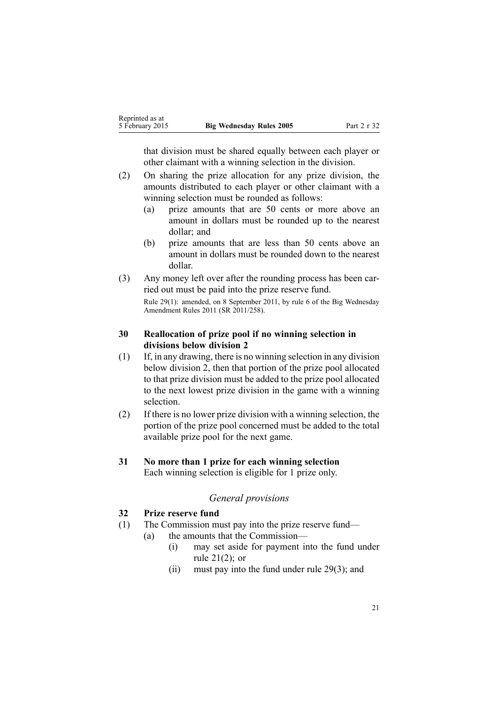<span id="page-20-0"></span>that division must be shared equally between each player or other claimant with <sup>a</sup> winning selection in the division.

- (2) On sharing the prize allocation for any prize division, the amounts distributed to each player or other claimant with <sup>a</sup> winning selection must be rounded as follows:
	- (a) prize amounts that are 50 cents or more above an amount in dollars must be rounded up to the nearest dollar; and
	- (b) prize amounts that are less than 50 cents above an amount in dollars must be rounded down to the nearest dollar.
- (3) Any money left over after the rounding process has been carried out must be paid into the prize reserve fund. Rule 29(1): amended, on 8 September 2011, by [rule](http://www.legislation.govt.nz/pdflink.aspx?id=DLM3855300) 6 of the Big Wednesday Amendment Rules 2011 (SR 2011/258).

## **30 Reallocation of prize pool if no winning selection in divisions below division 2**

- (1) If, in any drawing, there is no winning selection in any division below division 2, then that portion of the prize pool allocated to that prize division must be added to the prize pool allocated to the next lowest prize division in the game with <sup>a</sup> winning selection.
- (2) If there is no lower prize division with <sup>a</sup> winning selection, the portion of the prize pool concerned must be added to the total available prize pool for the next game.
- **31 No more than 1 prize for each winning selection** Each winning selection is eligible for 1 prize only.

## *General provisions*

## **32 Prize reserve fund**

- (1) The Commission must pay into the prize reserve fund—
	- (a) the amounts that the Commission—
		- (i) may set aside for paymen<sup>t</sup> into the fund under rule [21\(2\)](#page-15-0); or
		- (ii) must pay into the fund under rule [29\(3\)](#page-19-0); and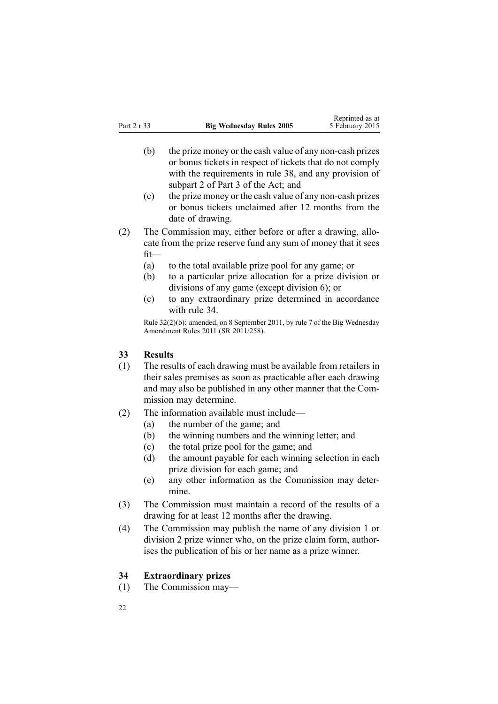- <span id="page-21-0"></span>(b) the prize money or the cash value of any non-cash prizes or bonus tickets in respec<sup>t</sup> of tickets that do not comply with the requirements in [rule](#page-24-0) 38, and any provision of [subpart](http://www.legislation.govt.nz/pdflink.aspx?id=DLM209728) 2 of Part 3 of the Act; and
- (c) the prize money or the cash value of any non-cash prizes or bonus tickets unclaimed after 12 months from the date of drawing.
- (2) The Commission may, either before or after <sup>a</sup> drawing, allocate from the prize reserve fund any sum of money that it sees fit—
	- (a) to the total available prize pool for any game; or
	- (b) to <sup>a</sup> particular prize allocation for <sup>a</sup> prize division or divisions of any game (except division 6); or
	- (c) to any extraordinary prize determined in accordance with rule 34.

Rule 32(2)(b): amended, on 8 September 2011, by [rule](http://www.legislation.govt.nz/pdflink.aspx?id=DLM3848531) 7 of the Big Wednesday Amendment Rules 2011 (SR 2011/258).

## **33 Results**

- (1) The results of each drawing must be available from retailers in their sales premises as soon as practicable after each drawing and may also be published in any other manner that the Commission may determine.
- (2) The information available must include—
	- (a) the number of the game; and
	- (b) the winning numbers and the winning letter; and
	- (c) the total prize pool for the game; and
	- (d) the amount payable for each winning selection in each prize division for each game; and
	- (e) any other information as the Commission may determine.
- (3) The Commission must maintain <sup>a</sup> record of the results of <sup>a</sup> drawing for at least 12 months after the drawing.
- (4) The Commission may publish the name of any division 1 or division 2 prize winner who, on the prize claim form, authorises the publication of his or her name as <sup>a</sup> prize winner.

#### **34 Extraordinary prizes**

(1) The Commission may—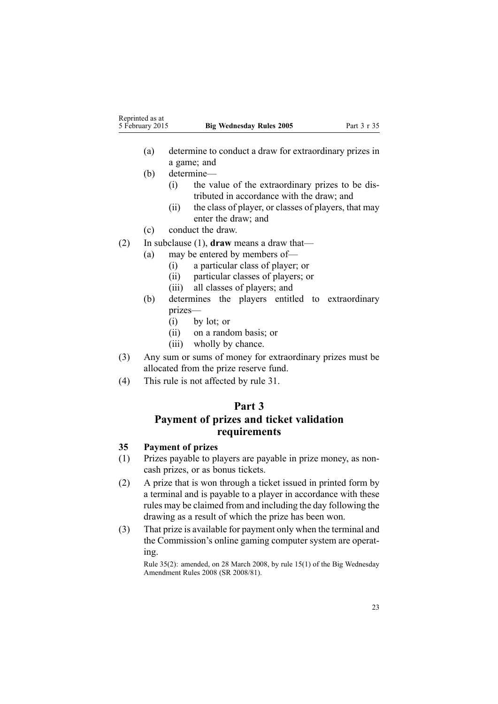<span id="page-22-0"></span>

| Reprinted as at |                                 |             |
|-----------------|---------------------------------|-------------|
| 5 February 2015 | <b>Big Wednesday Rules 2005</b> | Part 3 r 35 |

- (a) determine to conduct <sup>a</sup> draw for extraordinary prizes in <sup>a</sup> game; and
- (b) determine—
	- (i) the value of the extraordinary prizes to be distributed in accordance with the draw; and
	- (ii) the class of player, or classes of players, that may enter the draw; and
- (c) conduct the draw.
- (2) In subclause (1), **draw** means <sup>a</sup> draw that—
	- (a) may be entered by members of—
		- (i) <sup>a</sup> particular class of player; or
		- (ii) particular classes of players; or
		- (iii) all classes of players; and
	- (b) determines the players entitled to extraordinary prizes—
		- (i) by lot; or
		- (ii) on <sup>a</sup> random basis; or
		- (iii) wholly by chance.
- (3) Any sum or sums of money for extraordinary prizes must be allocated from the prize reserve fund.
- (4) This rule is not affected by [rule](#page-20-0) 31.

## **Part 3**

## **Payment of prizes and ticket validation requirements**

## **35 Payment of prizes**

- (1) Prizes payable to players are payable in prize money, as noncash prizes, or as bonus tickets.
- (2) A prize that is won through <sup>a</sup> ticket issued in printed form by <sup>a</sup> terminal and is payable to <sup>a</sup> player in accordance with these rules may be claimed from and including the day following the drawing as <sup>a</sup> result of which the prize has been won.
- (3) That prize is available for paymen<sup>t</sup> only when the terminal and the Commission's online gaming computer system are operating.

Rule 35(2): amended, on 28 March 2008, by rule [15\(1\)](http://www.legislation.govt.nz/pdflink.aspx?id=DLM1221032) of the Big Wednesday Amendment Rules 2008 (SR 2008/81).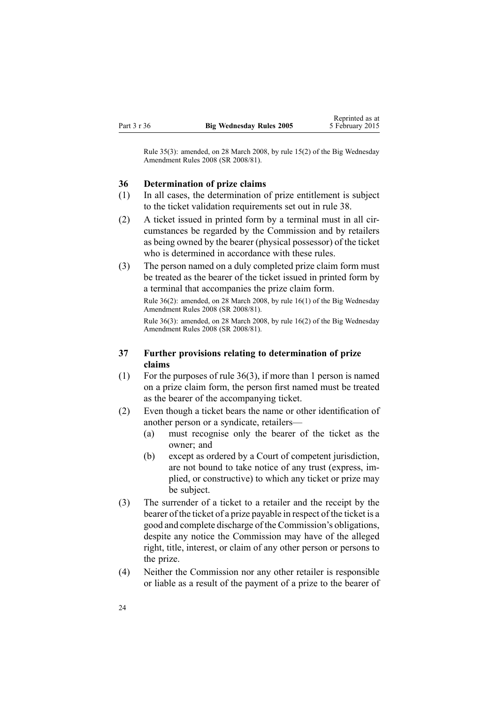<span id="page-23-0"></span>Rule 35(3): amended, on 28 March 2008, by rule [15\(2\)](http://www.legislation.govt.nz/pdflink.aspx?id=DLM1221032) of the Big Wednesday Amendment Rules 2008 (SR 2008/81).

#### **36 Determination of prize claims**

- (1) In all cases, the determination of prize entitlement is subject to the ticket validation requirements set out in [rule](#page-24-0) 38.
- (2) A ticket issued in printed form by <sup>a</sup> terminal must in all circumstances be regarded by the Commission and by retailers as being owned by the bearer (physical possessor) of the ticket who is determined in accordance with these rules.
- (3) The person named on <sup>a</sup> duly completed prize claim form must be treated as the bearer of the ticket issued in printed form by <sup>a</sup> terminal that accompanies the prize claim form.

Rule 36(2): amended, on 28 March 2008, by rule [16\(1\)](http://www.legislation.govt.nz/pdflink.aspx?id=DLM1221033) of the Big Wednesday Amendment Rules 2008 (SR 2008/81).

Rule 36(3): amended, on 28 March 2008, by rule [16\(2\)](http://www.legislation.govt.nz/pdflink.aspx?id=DLM1221033) of the Big Wednesday Amendment Rules 2008 (SR 2008/81).

## **37 Further provisions relating to determination of prize claims**

- (1) For the purposes of rule 36(3), if more than 1 person is named on <sup>a</sup> prize claim form, the person first named must be treated as the bearer of the accompanying ticket.
- (2) Even though <sup>a</sup> ticket bears the name or other identification of another person or <sup>a</sup> syndicate, retailers—
	- (a) must recognise only the bearer of the ticket as the owner; and
	- (b) excep<sup>t</sup> as ordered by <sup>a</sup> Court of competent jurisdiction, are not bound to take notice of any trust (express, implied, or constructive) to which any ticket or prize may be subject.
- (3) The surrender of <sup>a</sup> ticket to <sup>a</sup> retailer and the receipt by the bearer of the ticket of <sup>a</sup> prize payable in respec<sup>t</sup> of the ticket is <sup>a</sup> good and complete discharge of the Commission's obligations, despite any notice the Commission may have of the alleged right, title, interest, or claim of any other person or persons to the prize.
- (4) Neither the Commission nor any other retailer is responsible or liable as <sup>a</sup> result of the paymen<sup>t</sup> of <sup>a</sup> prize to the bearer of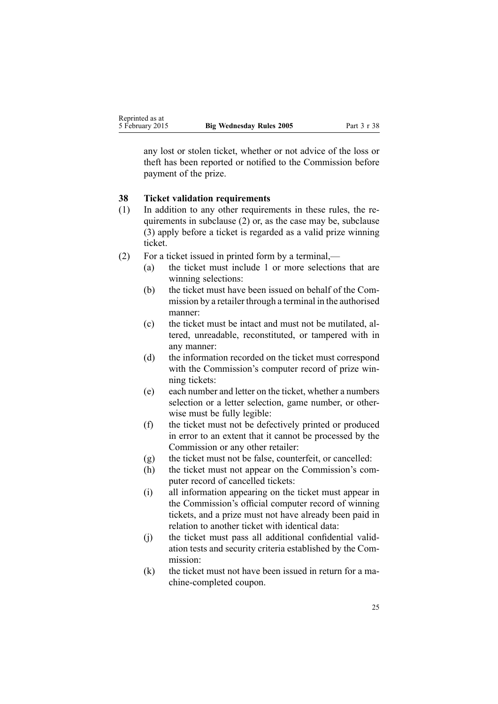<span id="page-24-0"></span>any lost or stolen ticket, whether or not advice of the loss or theft has been reported or notified to the Commission before paymen<sup>t</sup> of the prize.

## **38 Ticket validation requirements**

- (1) In addition to any other requirements in these rules, the requirements in subclause (2) or, as the case may be, subclause (3) apply before <sup>a</sup> ticket is regarded as <sup>a</sup> valid prize winning ticket.
- (2) For <sup>a</sup> ticket issued in printed form by <sup>a</sup> terminal,—
	- (a) the ticket must include 1 or more selections that are winning selections:
	- (b) the ticket must have been issued on behalf of the Commission by <sup>a</sup> retailer through <sup>a</sup> terminal in the authorised manner:
	- (c) the ticket must be intact and must not be mutilated, altered, unreadable, reconstituted, or tampered with in any manner:
	- (d) the information recorded on the ticket must correspond with the Commission's computer record of prize winning tickets:
	- (e) each number and letter on the ticket, whether <sup>a</sup> numbers selection or <sup>a</sup> letter selection, game number, or otherwise must be fully legible:
	- (f) the ticket must not be defectively printed or produced in error to an extent that it cannot be processed by the Commission or any other retailer:
	- (g) the ticket must not be false, counterfeit, or cancelled:
	- (h) the ticket must not appear on the Commission's computer record of cancelled tickets:
	- (i) all information appearing on the ticket must appear in the Commission's official computer record of winning tickets, and <sup>a</sup> prize must not have already been paid in relation to another ticket with identical data:
	- (j) the ticket must pass all additional confidential validation tests and security criteria established by the Commission:
	- (k) the ticket must not have been issued in return for <sup>a</sup> machine-completed coupon.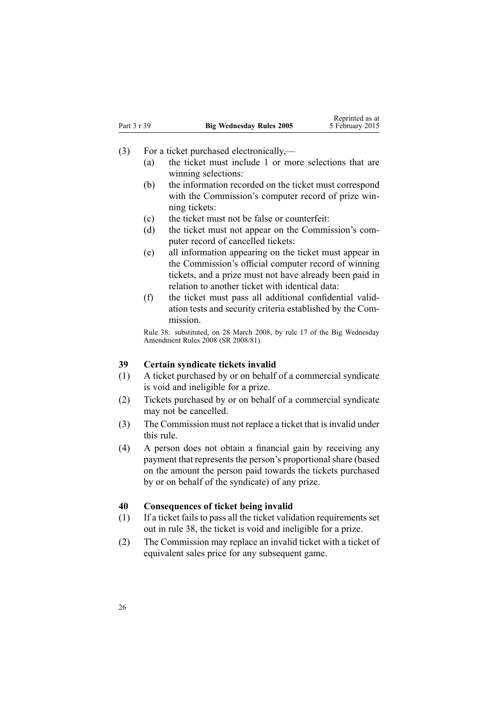- <span id="page-25-0"></span>(3) For <sup>a</sup> ticket purchased electronically,—
	- (a) the ticket must include 1 or more selections that are winning selections:
	- (b) the information recorded on the ticket must correspond with the Commission's computer record of prize winning tickets:
	- (c) the ticket must not be false or counterfeit:
	- (d) the ticket must not appear on the Commission's computer record of cancelled tickets:
	- (e) all information appearing on the ticket must appear in the Commission's official computer record of winning tickets, and <sup>a</sup> prize must not have already been paid in relation to another ticket with identical data:
	- (f) the ticket must pass all additional confidential validation tests and security criteria established by the Commission.

Rule 38: substituted, on 28 March 2008, by [rule](http://www.legislation.govt.nz/pdflink.aspx?id=DLM1221034) 17 of the Big Wednesday Amendment Rules 2008 (SR 2008/81).

## **39 Certain syndicate tickets invalid**

- (1) A ticket purchased by or on behalf of <sup>a</sup> commercial syndicate is void and ineligible for <sup>a</sup> prize.
- (2) Tickets purchased by or on behalf of <sup>a</sup> commercial syndicate may not be cancelled.
- (3) The Commission must not replace <sup>a</sup> ticket that is invalid under this rule.
- (4) A person does not obtain <sup>a</sup> financial gain by receiving any paymen<sup>t</sup> that represents the person's proportional share (based on the amount the person paid towards the tickets purchased by or on behalf of the syndicate) of any prize.

#### **40 Consequences of ticket being invalid**

- (1) If <sup>a</sup> ticket fails to pass all the ticket validation requirements set out in [rule](#page-24-0) 38, the ticket is void and ineligible for <sup>a</sup> prize.
- (2) The Commission may replace an invalid ticket with <sup>a</sup> ticket of equivalent sales price for any subsequent game.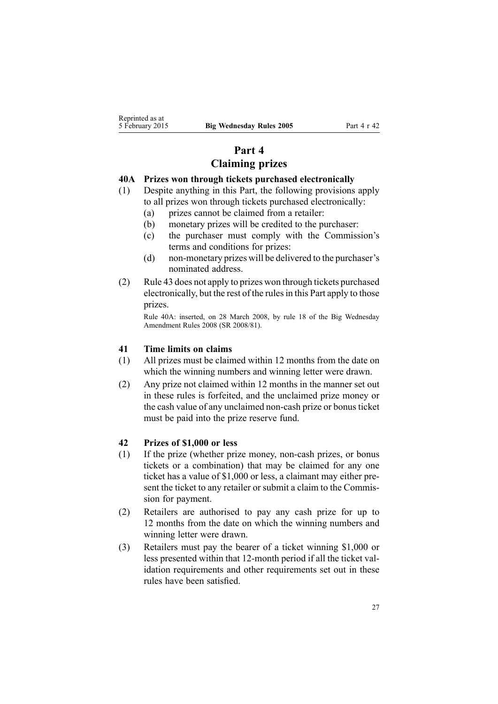## **Part 4 Claiming prizes**

## <span id="page-26-0"></span>**40A Prizes won through tickets purchased electronically**

- (1) Despite anything in this Part, the following provisions apply to all prizes won through tickets purchased electronically:
	- (a) prizes cannot be claimed from <sup>a</sup> retailer:
	- (b) monetary prizes will be credited to the purchaser:
	- (c) the purchaser must comply with the Commission's terms and conditions for prizes:
	- (d) non-monetary prizes will be delivered to the purchaser's nominated address.
- (2) [Rule](#page-27-0) 43 does not apply to prizes won through tickets purchased electronically, but the rest of the rulesin this Part apply to those prizes.

Rule 40A: inserted, on 28 March 2008, by [rule](http://www.legislation.govt.nz/pdflink.aspx?id=DLM1221036) 18 of the Big Wednesday Amendment Rules 2008 (SR 2008/81).

## **41 Time limits on claims**

- (1) All prizes must be claimed within 12 months from the date on which the winning numbers and winning letter were drawn.
- (2) Any prize not claimed within 12 months in the manner set out in these rules is forfeited, and the unclaimed prize money or the cash value of any unclaimed non-cash prize or bonus ticket must be paid into the prize reserve fund.

## **42 Prizes of \$1,000 or less**

- (1) If the prize (whether prize money, non-cash prizes, or bonus tickets or <sup>a</sup> combination) that may be claimed for any one ticket has <sup>a</sup> value of \$1,000 or less, <sup>a</sup> claimant may either present the ticket to any retailer or submit <sup>a</sup> claim to the Commission for payment.
- (2) Retailers are authorised to pay any cash prize for up to 12 months from the date on which the winning numbers and winning letter were drawn.
- (3) Retailers must pay the bearer of <sup>a</sup> ticket winning \$1,000 or less presented within that 12-month period if all the ticket validation requirements and other requirements set out in these rules have been satisfied.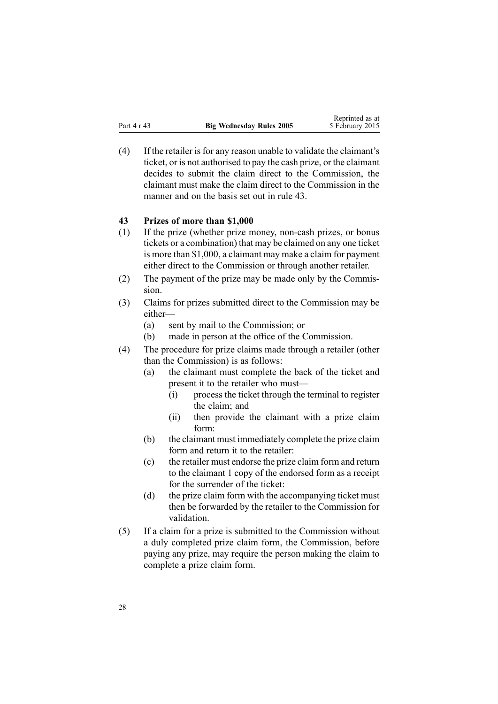<span id="page-27-0"></span> $(4)$  If the retailer is for any reason unable to validate the claimant's ticket, or is not authorised to pay the cash prize, or the claimant decides to submit the claim direct to the Commission, the claimant must make the claim direct to the Commission in the manner and on the basis set out in rule 43.

#### **43 Prizes of more than \$1,000**

- (1) If the prize (whether prize money, non-cash prizes, or bonus tickets or <sup>a</sup> combination) that may be claimed on any one ticket is more than \$1,000, <sup>a</sup> claimant may make <sup>a</sup> claim for paymen<sup>t</sup> either direct to the Commission or through another retailer.
- (2) The paymen<sup>t</sup> of the prize may be made only by the Commission.
- (3) Claims for prizes submitted direct to the Commission may be either—
	- (a) sent by mail to the Commission; or
	- (b) made in person at the office of the Commission.
- (4) The procedure for prize claims made through <sup>a</sup> retailer (other than the Commission) is as follows:
	- (a) the claimant must complete the back of the ticket and presen<sup>t</sup> it to the retailer who must—
		- (i) process the ticket through the terminal to register the claim; and
		- (ii) then provide the claimant with <sup>a</sup> prize claim form:
	- (b) the claimant must immediately complete the prize claim form and return it to the retailer:
	- (c) the retailer must endorse the prize claim form and return to the claimant 1 copy of the endorsed form as <sup>a</sup> receipt for the surrender of the ticket:
	- (d) the prize claim form with the accompanying ticket must then be forwarded by the retailer to the Commission for validation.
- (5) If <sup>a</sup> claim for <sup>a</sup> prize is submitted to the Commission without <sup>a</sup> duly completed prize claim form, the Commission, before paying any prize, may require the person making the claim to complete <sup>a</sup> prize claim form.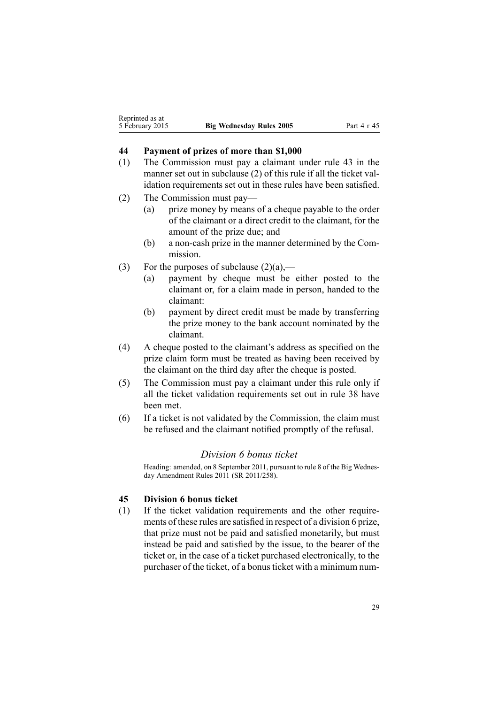## <span id="page-28-0"></span>**44 Payment of prizes of more than \$1,000**

- (1) The Commission must pay <sup>a</sup> claimant under [rule](#page-27-0) 43 in the manner set out in subclause (2) of this rule if all the ticket validation requirements set out in these rules have been satisfied.
- (2) The Commission must pay—
	- (a) prize money by means of <sup>a</sup> cheque payable to the order of the claimant or <sup>a</sup> direct credit to the claimant, for the amount of the prize due; and
	- (b) <sup>a</sup> non-cash prize in the manner determined by the Commission.
- (3) For the purposes of subclause  $(2)(a)$ ,—
	- (a) paymen<sup>t</sup> by cheque must be either posted to the claimant or, for <sup>a</sup> claim made in person, handed to the claimant:
	- (b) paymen<sup>t</sup> by direct credit must be made by transferring the prize money to the bank account nominated by the claimant.
- (4) A cheque posted to the claimant's address as specified on the prize claim form must be treated as having been received by the claimant on the third day after the cheque is posted.
- (5) The Commission must pay <sup>a</sup> claimant under this rule only if all the ticket validation requirements set out in [rule](#page-24-0) 38 have been met.
- (6) If <sup>a</sup> ticket is not validated by the Commission, the claim must be refused and the claimant notified promptly of the refusal.

## *Division 6 bonus ticket*

Heading: amended, on 8 September 2011, pursuan<sup>t</sup> to [rule](http://www.legislation.govt.nz/pdflink.aspx?id=DLM3848532) 8 of the Big Wednesday Amendment Rules 2011 (SR 2011/258).

## **45 Division 6 bonus ticket**

(1) If the ticket validation requirements and the other requirements of these rules are satisfied in respec<sup>t</sup> of <sup>a</sup> division 6 prize, that prize must not be paid and satisfied monetarily, but must instead be paid and satisfied by the issue, to the bearer of the ticket or, in the case of <sup>a</sup> ticket purchased electronically, to the purchaser of the ticket, of a bonus ticket with a minimum num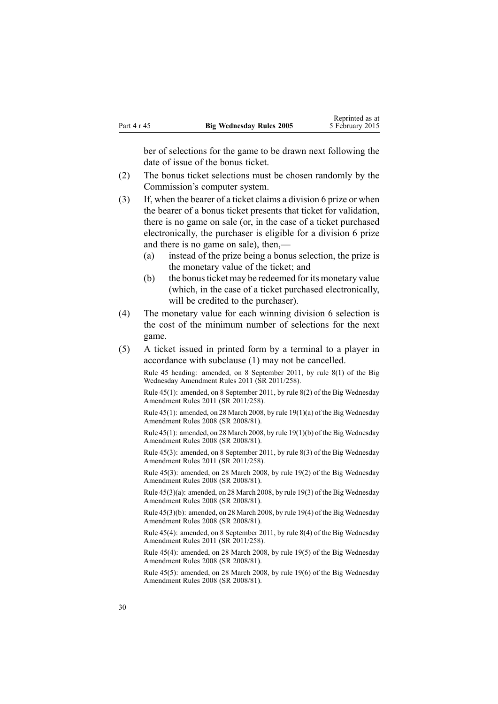ber of selections for the game to be drawn next following the date of issue of the bonus ticket.

- (2) The bonus ticket selections must be chosen randomly by the Commission's computer system.
- (3) If, when the bearer of <sup>a</sup> ticket claims <sup>a</sup> division 6 prize or when the bearer of <sup>a</sup> bonus ticket presents that ticket for validation, there is no game on sale (or, in the case of <sup>a</sup> ticket purchased electronically, the purchaser is eligible for <sup>a</sup> division 6 prize and there is no game on sale), then,—
	- (a) instead of the prize being <sup>a</sup> bonus selection, the prize is the monetary value of the ticket; and
	- (b) the bonus ticket may be redeemed for its monetary value (which, in the case of <sup>a</sup> ticket purchased electronically, will be credited to the purchaser).
- (4) The monetary value for each winning division 6 selection is the cost of the minimum number of selections for the next game.
- (5) A ticket issued in printed form by <sup>a</sup> terminal to <sup>a</sup> player in accordance with subclause (1) may not be cancelled.

Rule 45 heading: amended, on 8 September 2011, by rule [8\(1\)](http://www.legislation.govt.nz/pdflink.aspx?id=DLM3848532) of the Big Wednesday Amendment Rules 2011 (SR 2011/258).

Rule 45(1): amended, on 8 September 2011, by rule [8\(2\)](http://www.legislation.govt.nz/pdflink.aspx?id=DLM3848532) of the Big Wednesday Amendment Rules 2011 (SR 2011/258).

Rule 45(1): amended, on 28 March 2008, by rule [19\(1\)\(a\)](http://www.legislation.govt.nz/pdflink.aspx?id=DLM1221038) of the Big Wednesday Amendment Rules 2008 (SR 2008/81).

Rule 45(1): amended, on 28 March 2008, by rule [19\(1\)\(b\)](http://www.legislation.govt.nz/pdflink.aspx?id=DLM1221038) of the Big Wednesday Amendment Rules 2008 (SR 2008/81).

Rule 45(3): amended, on 8 September 2011, by rule [8\(3\)](http://www.legislation.govt.nz/pdflink.aspx?id=DLM3848532) of the Big Wednesday Amendment Rules 2011 (SR 2011/258).

Rule 45(3): amended, on 28 March 2008, by rule [19\(2\)](http://www.legislation.govt.nz/pdflink.aspx?id=DLM1221038) of the Big Wednesday Amendment Rules 2008 (SR 2008/81).

Rule 45(3)(a): amended, on 28 March 2008, by rule [19\(3\)](http://www.legislation.govt.nz/pdflink.aspx?id=DLM1221038) of the Big Wednesday Amendment Rules 2008 (SR 2008/81).

Rule 45(3)(b): amended, on 28 March 2008, by rule [19\(4\)](http://www.legislation.govt.nz/pdflink.aspx?id=DLM1221038) of the Big Wednesday Amendment Rules 2008 (SR 2008/81).

Rule 45(4): amended, on 8 September 2011, by rule [8\(4\)](http://www.legislation.govt.nz/pdflink.aspx?id=DLM3848532) of the Big Wednesday Amendment Rules 2011 (SR 2011/258).

Rule 45(4): amended, on 28 March 2008, by rule [19\(5\)](http://www.legislation.govt.nz/pdflink.aspx?id=DLM1221038) of the Big Wednesday Amendment Rules 2008 (SR 2008/81).

Rule 45(5): amended, on 28 March 2008, by rule [19\(6\)](http://www.legislation.govt.nz/pdflink.aspx?id=DLM1221038) of the Big Wednesday Amendment Rules 2008 (SR 2008/81).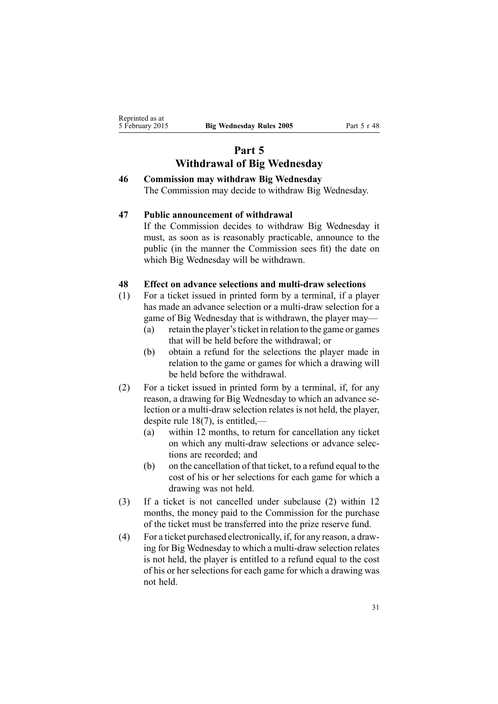# **Part 5 Withdrawal of Big Wednesday**

## <span id="page-30-0"></span>**46 Commission may withdraw Big Wednesday** The Commission may decide to withdraw Big Wednesday.

### **47 Public announcement of withdrawal**

If the Commission decides to withdraw Big Wednesday it must, as soon as is reasonably practicable, announce to the public (in the manner the Commission sees fit) the date on which Big Wednesday will be withdrawn.

#### **48 Effect on advance selections and multi-draw selections**

- (1) For <sup>a</sup> ticket issued in printed form by <sup>a</sup> terminal, if <sup>a</sup> player has made an advance selection or <sup>a</sup> multi-draw selection for <sup>a</sup> game of Big Wednesday that is withdrawn, the player may—
	- (a) retain the player'sticket in relation to the game or games that will be held before the withdrawal; or
	- (b) obtain <sup>a</sup> refund for the selections the player made in relation to the game or games for which <sup>a</sup> drawing will be held before the withdrawal.
- (2) For <sup>a</sup> ticket issued in printed form by <sup>a</sup> terminal, if, for any reason, <sup>a</sup> drawing for Big Wednesday to which an advance selection or <sup>a</sup> multi-draw selection relates is not held, the player, despite rule [18\(7\)](#page-14-0), is entitled,—
	- (a) within 12 months, to return for cancellation any ticket on which any multi-draw selections or advance selections are recorded; and
	- (b) on the cancellation of that ticket, to <sup>a</sup> refund equal to the cost of his or her selections for each game for which <sup>a</sup> drawing was not held.
- (3) If <sup>a</sup> ticket is not cancelled under subclause (2) within 12 months, the money paid to the Commission for the purchase of the ticket must be transferred into the prize reserve fund.
- (4) For <sup>a</sup> ticket purchased electronically, if, for any reason, <sup>a</sup> drawing for Big Wednesday to which <sup>a</sup> multi-draw selection relates is not held, the player is entitled to <sup>a</sup> refund equal to the cost of his or her selections for each game for which <sup>a</sup> drawing was not held.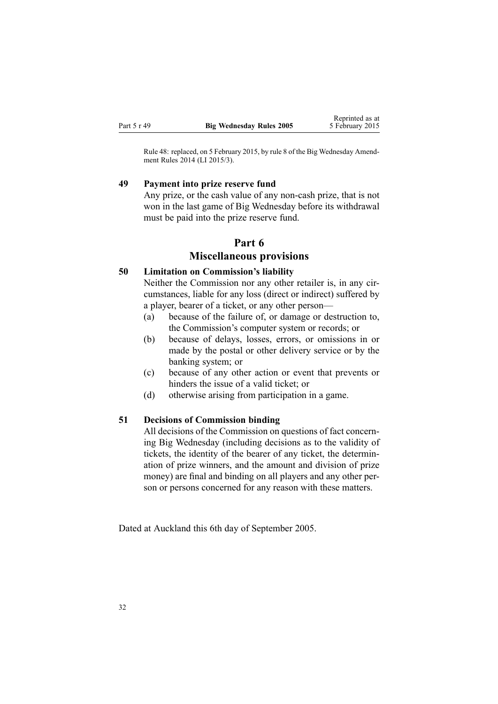<span id="page-31-0"></span>Rule 48: replaced, on 5 February 2015, by [rule](http://www.legislation.govt.nz/pdflink.aspx?id=DLM6322941) 8 of the Big Wednesday Amendment Rules 2014 (LI 2015/3).

#### **49 Payment into prize reserve fund**

Any prize, or the cash value of any non-cash prize, that is not won in the last game of Big Wednesday before its withdrawal must be paid into the prize reserve fund.

## **Part 6**

## **Miscellaneous provisions**

## **50 Limitation on Commission's liability**

Neither the Commission nor any other retailer is, in any circumstances, liable for any loss (direct or indirect) suffered by <sup>a</sup> player, bearer of <sup>a</sup> ticket, or any other person—

- (a) because of the failure of, or damage or destruction to, the Commission's computer system or records; or
- (b) because of delays, losses, errors, or omissions in or made by the postal or other delivery service or by the banking system; or
- (c) because of any other action or event that prevents or hinders the issue of <sup>a</sup> valid ticket; or
- (d) otherwise arising from participation in <sup>a</sup> game.

### **51 Decisions of Commission binding**

All decisions of the Commission on questions of fact concerning Big Wednesday (including decisions as to the validity of tickets, the identity of the bearer of any ticket, the determination of prize winners, and the amount and division of prize money) are final and binding on all players and any other person or persons concerned for any reason with these matters.

Dated at Auckland this 6th day of September 2005.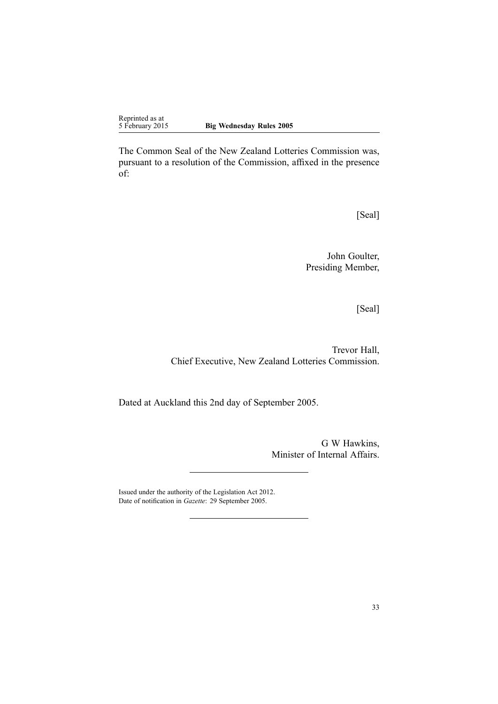The Common Seal of the New Zealand Lotteries Commission was, pursuan<sup>t</sup> to <sup>a</sup> resolution of the Commission, affixed in the presence of:

[Seal]

John Goulter, Presiding Member,

[Seal]

Trevor Hall, Chief Executive, New Zealand Lotteries Commission.

Dated at Auckland this 2nd day of September 2005.

G W Hawkins, Minister of Internal Affairs.

Issued under the authority of the [Legislation](http://www.legislation.govt.nz/pdflink.aspx?id=DLM2997643) Act 2012. Date of notification in *Gazette*: 29 September 2005.